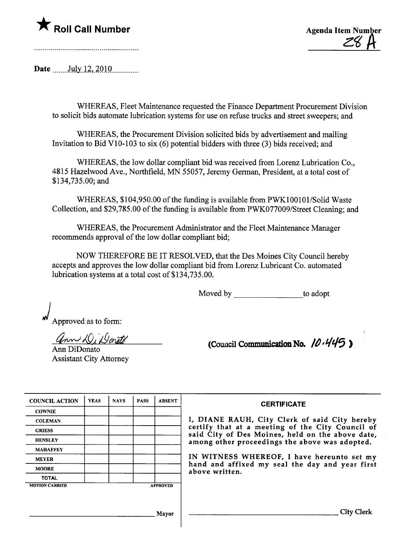## $\blacktriangledown$  Roll Call Number

**Agenda Item Number**  $Z\!\!\!\!\times\!\!$ 

......................................

**Date** July 12, 2010

WHEREAS, Fleet Maintenance requested the Finance Department Procurement Division to solicit bids automate lubrication systems for use on refuse trucks and street sweepers; and

WHEREAS, the Procurement Division solicited bids by advertisement and mailing Invitation to Bid V10-103 to six (6) potential bidders with three (3) bids received; and

WHEREAS, the low dollar compliant bid was received from Lorenz Lubrication Co., 4815 Hazelwood Ave., Northfield, MN 55057, Jeremy German, President, at a total cost of \$134,735.00; and

WHEREAS, \$104,950.00 of the funding is available from PWK100101/Solid Waste Collection, and \$29,785.00 of the funding is available from PWK077009/Street Cleaning; and

WHEREAS, the Procurement Administrator and the Fleet Maintenance Manager recommends approval of the low dollar compliant bid:

NOW THEREFORE BE IT RESOLVED, that the Des Moines City Council hereby accepts and approves the low dollar compliant bid from Lorenz Lubricant Co. automated lubrication systems at a total cost of \$134,735.00.

Moved by to adopt

Approved as to form:

ann DiDonato

Ann DiDonato **Assistant City Attorney** 

(Council Communication No.  $10.445$ )

| <b>COUNCIL ACTION</b> | <b>YEAS</b> | <b>NAYS</b> | <b>PASS</b> | <b>ABSENT</b>   | <b>CERTIFICATE</b>                                                                                   |
|-----------------------|-------------|-------------|-------------|-----------------|------------------------------------------------------------------------------------------------------|
| <b>COWNIE</b>         |             |             |             |                 |                                                                                                      |
| <b>COLEMAN</b>        |             |             |             |                 | I, DIANE RAUH, City Clerk of said City hereby                                                        |
| <b>GRIESS</b>         |             |             |             |                 | certify that at a meeting of the City Council of<br>said City of Des Moines, held on the above date, |
| <b>HENSLEY</b>        |             |             |             |                 | among other proceedings the above was adopted.                                                       |
| <b>MAHAFFEY</b>       |             |             |             |                 |                                                                                                      |
| <b>MEYER</b>          |             |             |             |                 | IN WITNESS WHEREOF, I have hereunto set my                                                           |
| <b>MOORE</b>          |             |             |             |                 | hand and affixed my seal the day and year first<br>above written.                                    |
| <b>TOTAL</b>          |             |             |             |                 |                                                                                                      |
| <b>MOTION CARRIED</b> |             |             |             | <b>APPROVED</b> |                                                                                                      |
|                       |             |             |             |                 |                                                                                                      |
|                       |             |             |             |                 |                                                                                                      |
|                       |             |             |             | Mavor           | <b>City Clerk</b>                                                                                    |
|                       |             |             |             |                 |                                                                                                      |